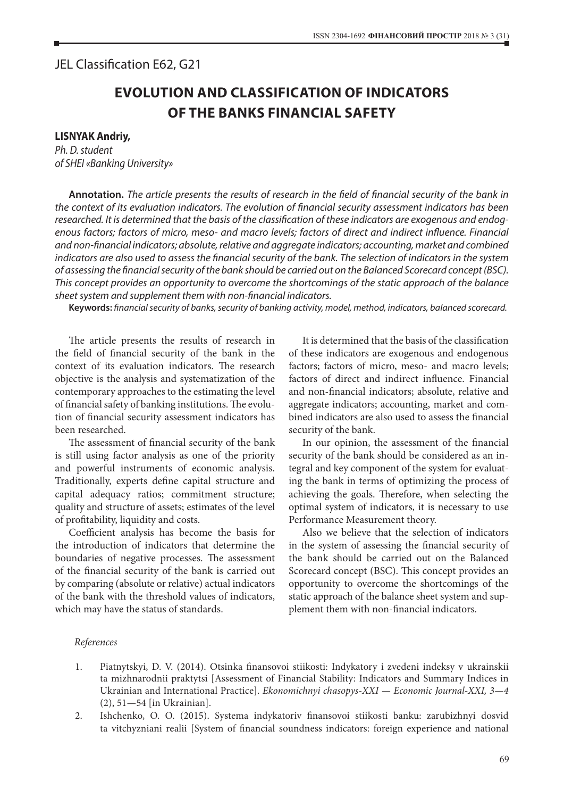## JEL Classification E62, G21

## **EVOLUTION AND CLASSIFICATION OF INDICATORS OF THE BANKS FINANCIAL SAFETY**

## **LISNYAK Andriy,**

*Ph. D. student of SHEI «Banking University»*

**Аnnotation.** *The article presents the results of research in the field of financial security of the bank in the context of its evaluation indicators. The evolution of financial security assessment indicators has been researched. It is determined that the basis of the classification of these indicators are exogenous and endogenous factors; factors of micro, meso- and macro levels; factors of direct and indirect influence. Financial and non-financial indicators; absolute, relative and aggregate indicators; accounting, market and combined indicators are also used to assess the financial security of the bank. The selection of indicators in the system of assessing the financial security of the bank should be carried out on the Balanced Scorecard concept (BSC). This concept provides an opportunity to overcome the shortcomings of the static approach of the balance sheet system and supplement them with non-financial indicators.*

**Keywords:** *financial security of banks, security of banking activity, model, method, indicators, balanced scorecard.*

The article presents the results of research in the field of financial security of the bank in the context of its evaluation indicators. The research objective is the analysis and systematization of the contemporary approaches to the estimating the level of financial safety of banking institutions. The evolution of financial security assessment indicators has been researched.

The assessment of financial security of the bank is still using factor analysis as one of the priority and powerful instruments of economic analysis. Traditionally, experts define capital structure and capital adequacy ratios; commitment structure; quality and structure of assets; estimates of the level of profitability, liquidity and costs.

Coefficient analysis has become the basis for the introduction of indicators that determine the boundaries of negative processes. The assessment of the financial security of the bank is carried out by comparing (absolute or relative) actual indicators of the bank with the threshold values of indicators, which may have the status of standards.

It is determined that the basis of the classification of these indicators are exogenous and endogenous factors; factors of micro, meso- and macro levels; factors of direct and indirect influence. Financial and non-financial indicators; absolute, relative and aggregate indicators; accounting, market and combined indicators are also used to assess the financial security of the bank.

In our opinion, the assessment of the financial security of the bank should be considered as an integral and key component of the system for evaluating the bank in terms of optimizing the process of achieving the goals. Therefore, when selecting the optimal system of indicators, it is necessary to use Performance Measurement theory.

Also we believe that the selection of indicators in the system of assessing the financial security of the bank should be carried out on the Balanced Scorecard concept (BSC). This concept provides an opportunity to overcome the shortcomings of the static approach of the balance sheet system and supplement them with non-financial indicators.

## *References*

- 1. Piatnytskyi, D. V. (2014). Otsinka finansovoi stiikosti: Indykatory i zvedeni indeksy v ukrainskii ta mizhnarodnii praktytsi [Assessment of Financial Stability: Indicators and Summary Indices in Ukrainian and International Practice]. *Ekonomichnyi chasopys-XXI — Economic Journal-XXI, 3—4* (2), 51—54 [in Ukrainian].
- 2. Ishchenko, O. O. (2015). Systema indykatoriv finansovoi stiikosti banku: zarubizhnyi dosvid ta vitchyzniani realii [System of financial soundness indicators: foreign experience and national